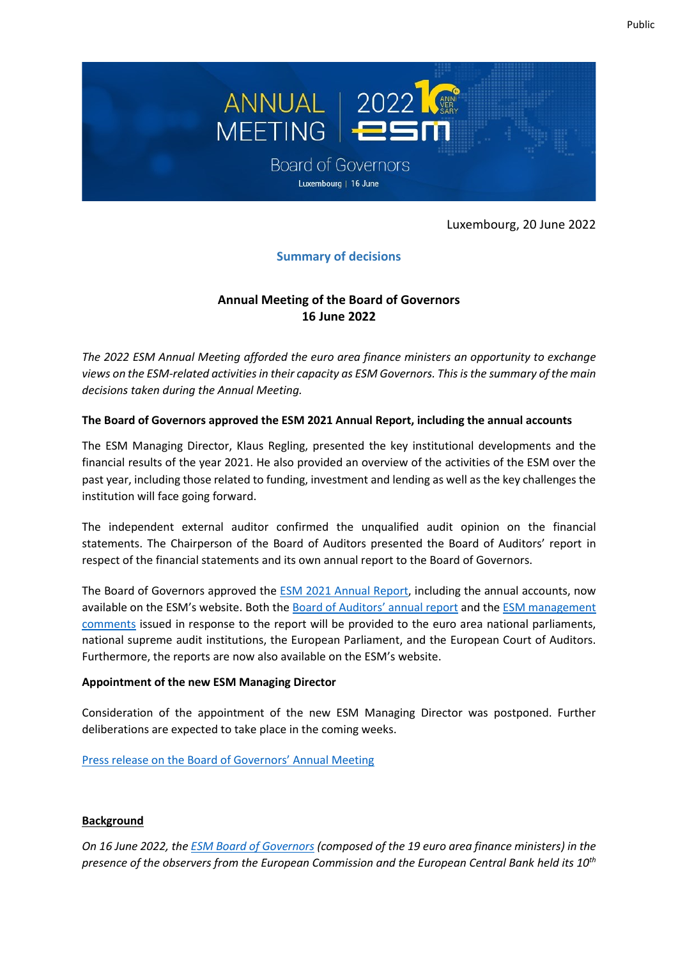

Luxembourg, 20 June 2022

# **Summary of decisions**

## **Annual Meeting of the Board of Governors 16 June 2022**

*The 2022 ESM Annual Meeting afforded the euro area finance ministers an opportunity to exchange views on the ESM-related activities in their capacity as ESM Governors. This is the summary of the main decisions taken during the Annual Meeting.*

### **The Board of Governors approved the ESM 2021 Annual Report, including the annual accounts**

The ESM Managing Director, Klaus Regling, presented the key institutional developments and the financial results of the year 2021. He also provided an overview of the activities of the ESM over the past year, including those related to funding, investment and lending as well as the key challenges the institution will face going forward.

The independent external auditor confirmed the unqualified audit opinion on the financial statements. The Chairperson of the Board of Auditors presented the Board of Auditors' report in respect of the financial statements and its own annual report to the Board of Governors.

The Board of Governors approved the ESM 2021 [Annual Report,](https://www.esm.europa.eu/publications/annual-report-2020) including the annual accounts, now available on the ESM's website. Both th[e Board of Auditor](https://www.esm.europa.eu/system/files/document/2022-06/2022-06-16_BoA_report_to_BoG.pdf)s' annual report and th[e ESM management](https://www.esm.europa.eu/system/files/document/2022-06/2022-06-16_Mangement_comments_on%20BoA_to_BoG_report.pdf)  [comments](https://www.esm.europa.eu/system/files/document/2022-06/2022-06-16_Mangement_comments_on%20BoA_to_BoG_report.pdf) issued in response to the report will be provided to the euro area national parliaments, national supreme audit institutions, the European Parliament, and the European Court of Auditors. Furthermore, the reports are now also available on the ESM's website.

#### **Appointment of the new ESM Managing Director**

Consideration of the appointment of the new ESM Managing Director was postponed. Further deliberations are expected to take place in the coming weeks.

#### Press release [on the Board of Governors' Annual Meeting](https://www.esm.europa.eu/press-releases/esm-board-governors-approves-2021-annual-report)

### **Background**

*On 16 June 2022, th[e ESM Board of Governors](https://www.esm.europa.eu/esm-governance#board_of_governors) (composed of the 19 euro area finance ministers) in the presence of the observers from the European Commission and the European Central Bank held its 10th*